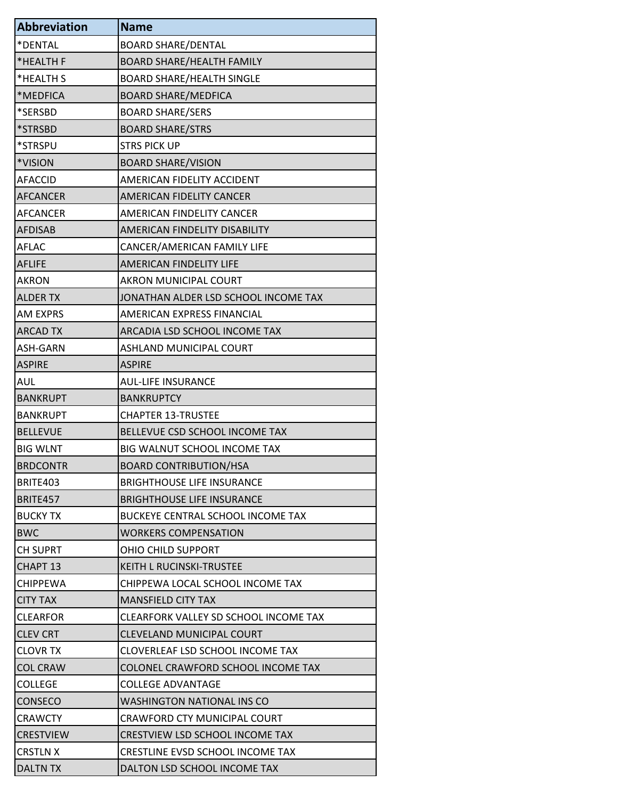| <b>Abbreviation</b> | <b>Name</b>                           |
|---------------------|---------------------------------------|
| *DENTAL             | <b>BOARD SHARE/DENTAL</b>             |
| *HEALTH F           | <b>BOARD SHARE/HEALTH FAMILY</b>      |
| *HEALTH S           | <b>BOARD SHARE/HEALTH SINGLE</b>      |
| *MEDFICA            | <b>BOARD SHARE/MEDFICA</b>            |
| *SERSBD             | <b>BOARD SHARE/SERS</b>               |
| *STRSBD             | <b>BOARD SHARE/STRS</b>               |
| *STRSPU             | <b>STRS PICK UP</b>                   |
| *VISION             | <b>BOARD SHARE/VISION</b>             |
| <b>AFACCID</b>      | AMERICAN FIDELITY ACCIDENT            |
| <b>AFCANCER</b>     | AMERICAN FIDELITY CANCER              |
| <b>AFCANCER</b>     | AMERICAN FINDELITY CANCER             |
| <b>AFDISAB</b>      | AMERICAN FINDELITY DISABILITY         |
| <b>AFLAC</b>        | CANCER/AMERICAN FAMILY LIFE           |
| <b>AFLIFE</b>       | <b>AMERICAN FINDELITY LIFE</b>        |
| <b>AKRON</b>        | <b>AKRON MUNICIPAL COURT</b>          |
| <b>ALDER TX</b>     | JONATHAN ALDER LSD SCHOOL INCOME TAX  |
| AM EXPRS            | AMERICAN EXPRESS FINANCIAL            |
| <b>ARCAD TX</b>     | ARCADIA LSD SCHOOL INCOME TAX         |
| ASH-GARN            | <b>ASHLAND MUNICIPAL COURT</b>        |
| <b>ASPIRE</b>       | <b>ASPIRE</b>                         |
| <b>AUL</b>          | <b>AUL-LIFE INSURANCE</b>             |
| <b>BANKRUPT</b>     | <b>BANKRUPTCY</b>                     |
| <b>BANKRUPT</b>     | <b>CHAPTER 13-TRUSTEE</b>             |
| <b>BELLEVUE</b>     | BELLEVUE CSD SCHOOL INCOME TAX        |
| <b>BIG WLNT</b>     | BIG WALNUT SCHOOL INCOME TAX          |
| <b>BRDCONTR</b>     | <b>BOARD CONTRIBUTION/HSA</b>         |
| BRITE403            | <b>BRIGHTHOUSE LIFE INSURANCE</b>     |
| BRITE457            | <b>BRIGHTHOUSE LIFE INSURANCE</b>     |
| <b>BUCKY TX</b>     | BUCKEYE CENTRAL SCHOOL INCOME TAX     |
| <b>BWC</b>          | <b>WORKERS COMPENSATION</b>           |
| <b>CH SUPRT</b>     | OHIO CHILD SUPPORT                    |
| <b>CHAPT 13</b>     | <b>KEITH L RUCINSKI-TRUSTEE</b>       |
| <b>CHIPPEWA</b>     | CHIPPEWA LOCAL SCHOOL INCOME TAX      |
| <b>CITY TAX</b>     | <b>MANSFIELD CITY TAX</b>             |
| <b>CLEARFOR</b>     | CLEARFORK VALLEY SD SCHOOL INCOME TAX |
| <b>CLEV CRT</b>     | CLEVELAND MUNICIPAL COURT             |
| <b>CLOVR TX</b>     | CLOVERLEAF LSD SCHOOL INCOME TAX      |
| <b>COL CRAW</b>     | COLONEL CRAWFORD SCHOOL INCOME TAX    |
| <b>COLLEGE</b>      | <b>COLLEGE ADVANTAGE</b>              |
| <b>CONSECO</b>      | WASHINGTON NATIONAL INS CO            |
| <b>CRAWCTY</b>      | CRAWFORD CTY MUNICIPAL COURT          |
| <b>CRESTVIEW</b>    | CRESTVIEW LSD SCHOOL INCOME TAX       |
| <b>CRSTLN X</b>     | CRESTLINE EVSD SCHOOL INCOME TAX      |
| <b>DALTN TX</b>     | DALTON LSD SCHOOL INCOME TAX          |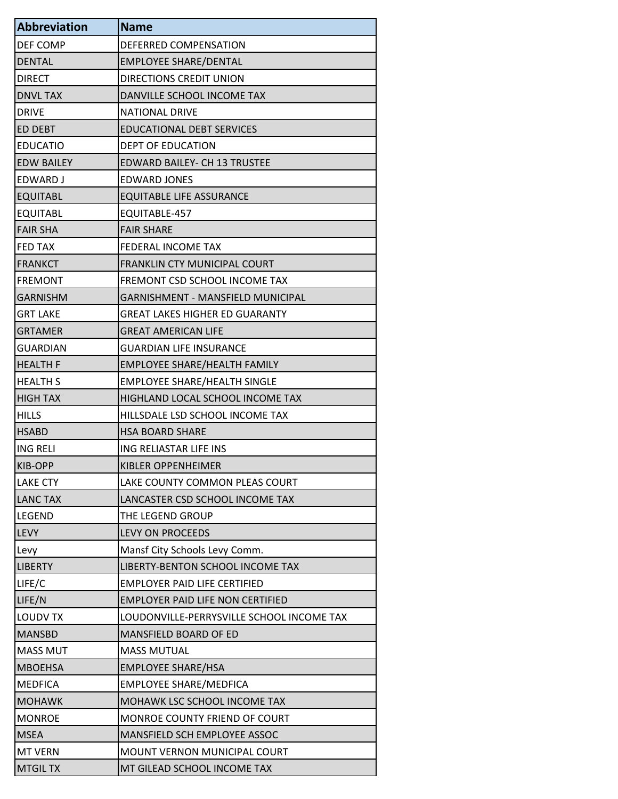| <b>Abbreviation</b> | <b>Name</b>                               |
|---------------------|-------------------------------------------|
| DEF COMP            | DEFERRED COMPENSATION                     |
| <b>DENTAL</b>       | <b>EMPLOYEE SHARE/DENTAL</b>              |
| <b>DIRECT</b>       | DIRECTIONS CREDIT UNION                   |
| <b>DNVL TAX</b>     | DANVILLE SCHOOL INCOME TAX                |
| <b>DRIVE</b>        | <b>NATIONAL DRIVE</b>                     |
| ED DEBT             | <b>EDUCATIONAL DEBT SERVICES</b>          |
| <b>EDUCATIO</b>     | <b>DEPT OF EDUCATION</b>                  |
| <b>EDW BAILEY</b>   | <b>EDWARD BAILEY- CH 13 TRUSTEE</b>       |
| EDWARD J            | <b>EDWARD JONES</b>                       |
| <b>EQUITABL</b>     | <b>EQUITABLE LIFE ASSURANCE</b>           |
| <b>EQUITABL</b>     | EQUITABLE-457                             |
| <b>FAIR SHA</b>     | <b>FAIR SHARE</b>                         |
| FED TAX             | FEDERAL INCOME TAX                        |
| <b>FRANKCT</b>      | FRANKLIN CTY MUNICIPAL COURT              |
| <b>FREMONT</b>      | FREMONT CSD SCHOOL INCOME TAX             |
| <b>GARNISHM</b>     | GARNISHMENT - MANSFIELD MUNICIPAL         |
| <b>GRT LAKE</b>     | GREAT LAKES HIGHER ED GUARANTY            |
| <b>GRTAMER</b>      | <b>GREAT AMERICAN LIFE</b>                |
| <b>GUARDIAN</b>     | <b>GUARDIAN LIFE INSURANCE</b>            |
| <b>HEALTH F</b>     | <b>EMPLOYEE SHARE/HEALTH FAMILY</b>       |
| <b>HEALTH S</b>     | EMPLOYEE SHARE/HEALTH SINGLE              |
| <b>HIGH TAX</b>     | HIGHLAND LOCAL SCHOOL INCOME TAX          |
| <b>HILLS</b>        | HILLSDALE LSD SCHOOL INCOME TAX           |
| <b>HSABD</b>        | <b>HSA BOARD SHARE</b>                    |
| <b>ING RELI</b>     | ING RELIASTAR LIFE INS                    |
| KIB-OPP             | KIBLER OPPENHEIMER                        |
| <b>LAKE CTY</b>     | LAKE COUNTY COMMON PLEAS COURT            |
| <b>LANC TAX</b>     | LANCASTER CSD SCHOOL INCOME TAX           |
| LEGEND              | THE LEGEND GROUP                          |
| <b>LEVY</b>         | <b>LEVY ON PROCEEDS</b>                   |
| Levy                | Mansf City Schools Levy Comm.             |
| <b>LIBERTY</b>      | LIBERTY-BENTON SCHOOL INCOME TAX          |
| LIFE/C              | <b>EMPLOYER PAID LIFE CERTIFIED</b>       |
| LIFE/N              | <b>EMPLOYER PAID LIFE NON CERTIFIED</b>   |
| <b>LOUDV TX</b>     | LOUDONVILLE-PERRYSVILLE SCHOOL INCOME TAX |
| <b>MANSBD</b>       | MANSFIELD BOARD OF ED                     |
| <b>MASS MUT</b>     | <b>MASS MUTUAL</b>                        |
| <b>MBOEHSA</b>      | <b>EMPLOYEE SHARE/HSA</b>                 |
| <b>MEDFICA</b>      | <b>EMPLOYEE SHARE/MEDFICA</b>             |
| <b>MOHAWK</b>       | MOHAWK LSC SCHOOL INCOME TAX              |
| <b>MONROE</b>       | MONROE COUNTY FRIEND OF COURT             |
| <b>MSEA</b>         | MANSFIELD SCH EMPLOYEE ASSOC              |
| <b>MT VERN</b>      | MOUNT VERNON MUNICIPAL COURT              |
| <b>MTGIL TX</b>     | MT GILEAD SCHOOL INCOME TAX               |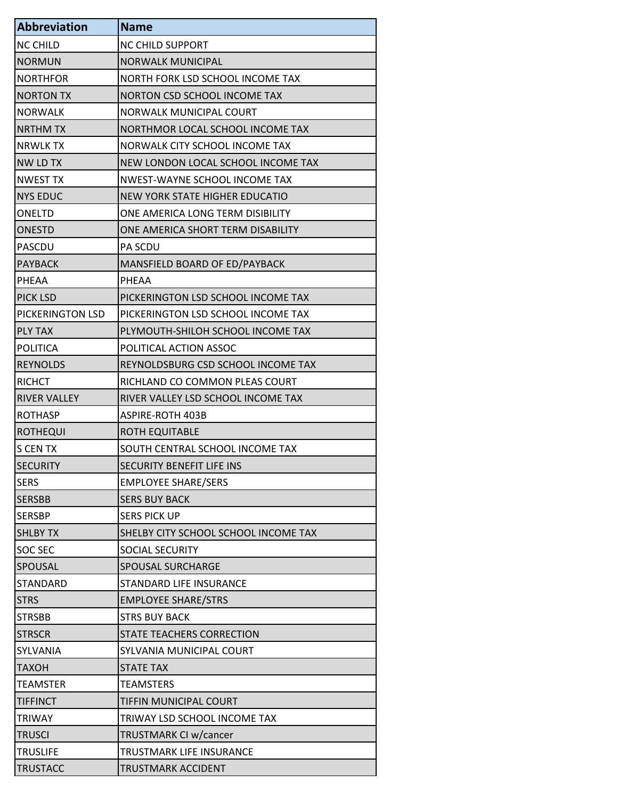| <b>Abbreviation</b> | <b>Name</b>                          |
|---------------------|--------------------------------------|
| <b>NC CHILD</b>     | NC CHILD SUPPORT                     |
| <b>NORMUN</b>       | <b>NORWALK MUNICIPAL</b>             |
| <b>NORTHFOR</b>     | NORTH FORK LSD SCHOOL INCOME TAX     |
| <b>NORTON TX</b>    | NORTON CSD SCHOOL INCOME TAX         |
| <b>NORWALK</b>      | <b>NORWALK MUNICIPAL COURT</b>       |
| <b>NRTHM TX</b>     | NORTHMOR LOCAL SCHOOL INCOME TAX     |
| <b>NRWLK TX</b>     | NORWALK CITY SCHOOL INCOME TAX       |
| <b>NW LD TX</b>     | NEW LONDON LOCAL SCHOOL INCOME TAX   |
| <b>NWEST TX</b>     | NWEST-WAYNE SCHOOL INCOME TAX        |
| <b>NYS EDUC</b>     | NEW YORK STATE HIGHER EDUCATIO       |
| ONELTD              | ONE AMERICA LONG TERM DISIBILITY     |
| <b>ONESTD</b>       | ONE AMERICA SHORT TERM DISABILITY    |
| <b>PASCDU</b>       | <b>PA SCDU</b>                       |
| <b>PAYBACK</b>      | MANSFIELD BOARD OF ED/PAYBACK        |
| PHEAA               | <b>PHEAA</b>                         |
| <b>PICK LSD</b>     | PICKERINGTON LSD SCHOOL INCOME TAX   |
| PICKERINGTON LSD    | PICKERINGTON LSD SCHOOL INCOME TAX   |
| <b>PLY TAX</b>      | PLYMOUTH-SHILOH SCHOOL INCOME TAX    |
| <b>POLITICA</b>     | POLITICAL ACTION ASSOC               |
| <b>REYNOLDS</b>     | REYNOLDSBURG CSD SCHOOL INCOME TAX   |
| <b>RICHCT</b>       | RICHLAND CO COMMON PLEAS COURT       |
| <b>RIVER VALLEY</b> | RIVER VALLEY LSD SCHOOL INCOME TAX   |
| <b>ROTHASP</b>      | <b>ASPIRE-ROTH 403B</b>              |
| <b>ROTHEQUI</b>     | ROTH EQUITABLE                       |
| S CEN TX            | SOUTH CENTRAL SCHOOL INCOME TAX      |
| <b>SECURITY</b>     | <b>SECURITY BENEFIT LIFE INS</b>     |
| <b>SERS</b>         | <b>EMPLOYEE SHARE/SERS</b>           |
| <b>SERSBB</b>       | <b>SERS BUY BACK</b>                 |
| <b>SERSBP</b>       | <b>SERS PICK UP</b>                  |
| <b>SHLBY TX</b>     | SHELBY CITY SCHOOL SCHOOL INCOME TAX |
| SOC SEC             | <b>SOCIAL SECURITY</b>               |
| SPOUSAL             | SPOUSAL SURCHARGE                    |
| STANDARD            | STANDARD LIFE INSURANCE              |
| <b>STRS</b>         | <b>EMPLOYEE SHARE/STRS</b>           |
| <b>STRSBB</b>       | <b>STRS BUY BACK</b>                 |
| <b>STRSCR</b>       | STATE TEACHERS CORRECTION            |
| SYLVANIA            | SYLVANIA MUNICIPAL COURT             |
| <b>TAXOH</b>        | <b>STATE TAX</b>                     |
| <b>TEAMSTER</b>     | <b>TEAMSTERS</b>                     |
| <b>TIFFINCT</b>     | TIFFIN MUNICIPAL COURT               |
| <b>TRIWAY</b>       | TRIWAY LSD SCHOOL INCOME TAX         |
| <b>TRUSCI</b>       | TRUSTMARK CI w/cancer                |
| <b>TRUSLIFE</b>     | TRUSTMARK LIFE INSURANCE             |
| <b>TRUSTACC</b>     | <b>TRUSTMARK ACCIDENT</b>            |